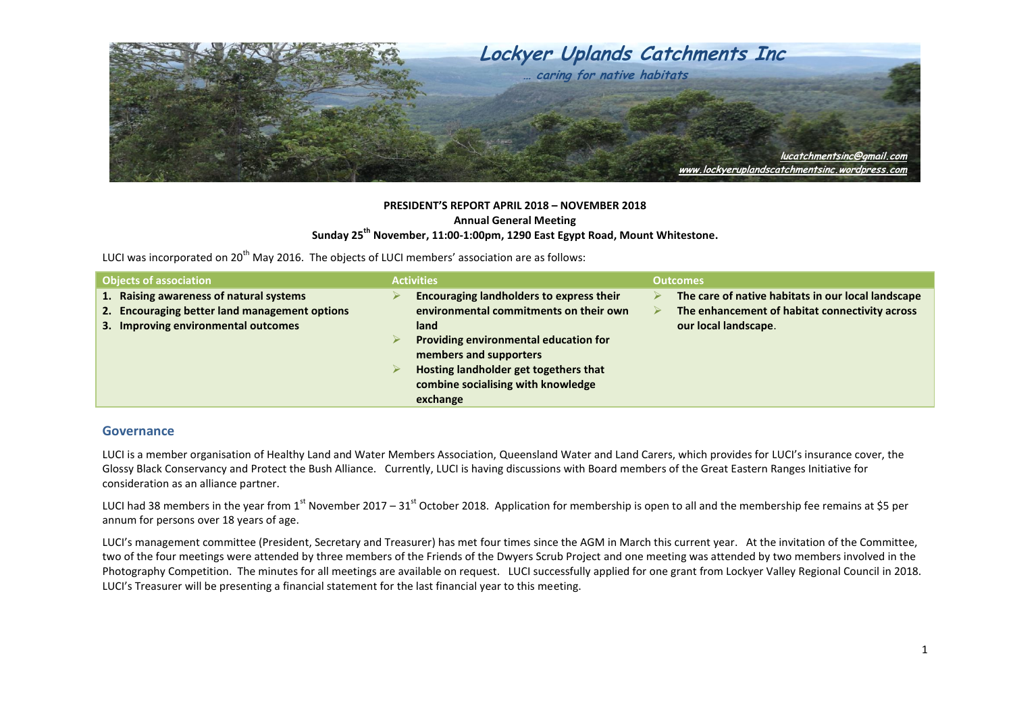

## **PRESIDENT'S REPORT APRIL 2018 – NOVEMBER 2018 Annual General Meeting Sunday 25th November, 11:00-1:00pm, 1290 East Egypt Road, Mount Whitestone.**

LUCI was incorporated on 20<sup>th</sup> May 2016. The objects of LUCI members' association are as follows:

| <b>Objects of association</b>                                                                                                   | <b>Activities</b>                                                                                                                                                                                                                                        | <b>Outcomes</b>                                                                                                              |
|---------------------------------------------------------------------------------------------------------------------------------|----------------------------------------------------------------------------------------------------------------------------------------------------------------------------------------------------------------------------------------------------------|------------------------------------------------------------------------------------------------------------------------------|
| 1. Raising awareness of natural systems<br>2. Encouraging better land management options<br>3. Improving environmental outcomes | Encouraging landholders to express their<br>environmental commitments on their own<br>land<br>Providing environmental education for<br>members and supporters<br>Hosting landholder get togethers that<br>combine socialising with knowledge<br>exchange | The care of native habitats in our local landscape<br>The enhancement of habitat connectivity across<br>our local landscape. |

## **Governance**

LUCI is a member organisation of Healthy Land and Water Members Association, Queensland Water and Land Carers, which provides for LUCI's insurance cover, the Glossy Black Conservancy and Protect the Bush Alliance. Currently, LUCI is having discussions with Board members of the Great Eastern Ranges Initiative for consideration as an alliance partner.

LUCI had 38 members in the year from 1<sup>st</sup> November 2017 – 31<sup>st</sup> October 2018. Application for membership is open to all and the membership fee remains at \$5 per annum for persons over 18 years of age.

LUCI's management committee (President, Secretary and Treasurer) has met four times since the AGM in March this current year. At the invitation of the Committee, two of the four meetings were attended by three members of the Friends of the Dwyers Scrub Project and one meeting was attended by two members involved in the Photography Competition. The minutes for all meetings are available on request. LUCI successfully applied for one grant from Lockyer Valley Regional Council in 2018. LUCI's Treasurer will be presenting a financial statement for the last financial year to this meeting.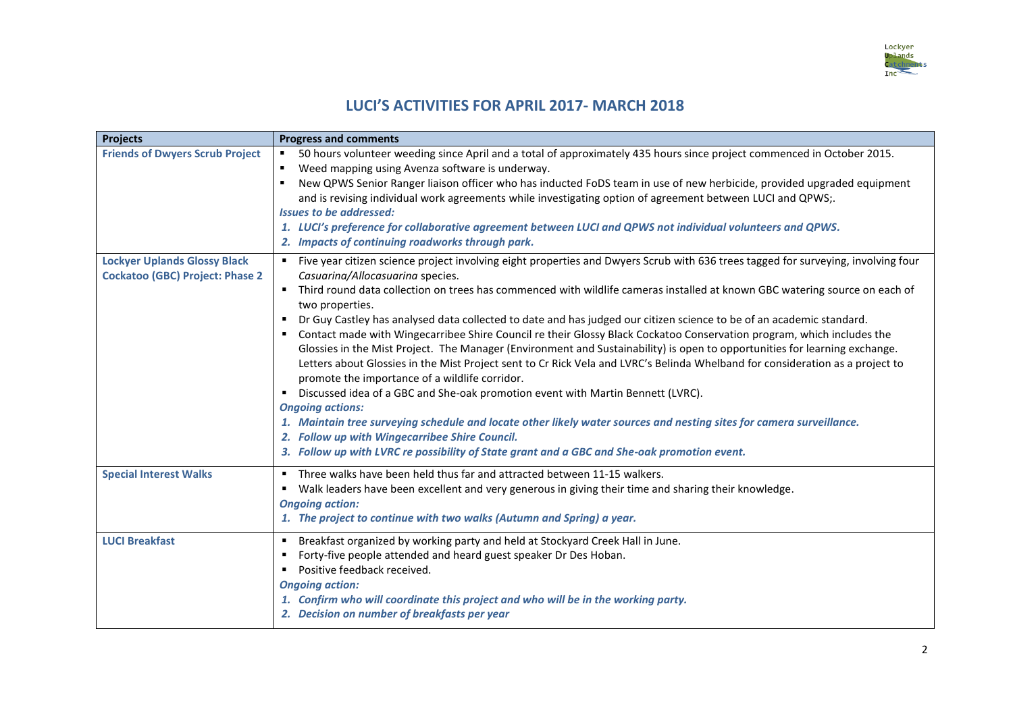

## **LUCI'S ACTIVITIES FOR APRIL 2017- MARCH 2018**

| <b>Projects</b>                                                               | <b>Progress and comments</b>                                                                                                                                                                                                                                                                                                                                                                                                                                                                                                                                                                                                                                                                                                                                                                                                                                                                                                                                                                                                                                                                                                                                                                                                                                                          |
|-------------------------------------------------------------------------------|---------------------------------------------------------------------------------------------------------------------------------------------------------------------------------------------------------------------------------------------------------------------------------------------------------------------------------------------------------------------------------------------------------------------------------------------------------------------------------------------------------------------------------------------------------------------------------------------------------------------------------------------------------------------------------------------------------------------------------------------------------------------------------------------------------------------------------------------------------------------------------------------------------------------------------------------------------------------------------------------------------------------------------------------------------------------------------------------------------------------------------------------------------------------------------------------------------------------------------------------------------------------------------------|
| <b>Friends of Dwyers Scrub Project</b>                                        | 50 hours volunteer weeding since April and a total of approximately 435 hours since project commenced in October 2015.<br>Weed mapping using Avenza software is underway.<br>New QPWS Senior Ranger liaison officer who has inducted FoDS team in use of new herbicide, provided upgraded equipment<br>and is revising individual work agreements while investigating option of agreement between LUCI and QPWS;.<br><b>Issues to be addressed:</b><br>1. LUCI's preference for collaborative agreement between LUCI and QPWS not individual volunteers and QPWS.<br>2. Impacts of continuing roadworks through park.                                                                                                                                                                                                                                                                                                                                                                                                                                                                                                                                                                                                                                                                 |
| <b>Lockyer Uplands Glossy Black</b><br><b>Cockatoo (GBC) Project: Phase 2</b> | " Five year citizen science project involving eight properties and Dwyers Scrub with 636 trees tagged for surveying, involving four<br>Casuarina/Allocasuarina species.<br>Third round data collection on trees has commenced with wildlife cameras installed at known GBC watering source on each of<br>two properties.<br>Dr Guy Castley has analysed data collected to date and has judged our citizen science to be of an academic standard.<br>" Contact made with Wingecarribee Shire Council re their Glossy Black Cockatoo Conservation program, which includes the<br>Glossies in the Mist Project. The Manager (Environment and Sustainability) is open to opportunities for learning exchange.<br>Letters about Glossies in the Mist Project sent to Cr Rick Vela and LVRC's Belinda Whelband for consideration as a project to<br>promote the importance of a wildlife corridor.<br>" Discussed idea of a GBC and She-oak promotion event with Martin Bennett (LVRC).<br><b>Ongoing actions:</b><br>1. Maintain tree surveying schedule and locate other likely water sources and nesting sites for camera surveillance.<br>2. Follow up with Wingecarribee Shire Council.<br>3. Follow up with LVRC re possibility of State grant and a GBC and She-oak promotion event. |
| <b>Special Interest Walks</b>                                                 | " Three walks have been held thus far and attracted between 11-15 walkers.<br>• Walk leaders have been excellent and very generous in giving their time and sharing their knowledge.<br><b>Ongoing action:</b><br>1. The project to continue with two walks (Autumn and Spring) a year.                                                                                                                                                                                                                                                                                                                                                                                                                                                                                                                                                                                                                                                                                                                                                                                                                                                                                                                                                                                               |
| <b>LUCI Breakfast</b>                                                         | " Breakfast organized by working party and held at Stockyard Creek Hall in June.<br>Forty-five people attended and heard guest speaker Dr Des Hoban.<br>Positive feedback received.<br>٠<br><b>Ongoing action:</b><br>1. Confirm who will coordinate this project and who will be in the working party.<br>2. Decision on number of breakfasts per year                                                                                                                                                                                                                                                                                                                                                                                                                                                                                                                                                                                                                                                                                                                                                                                                                                                                                                                               |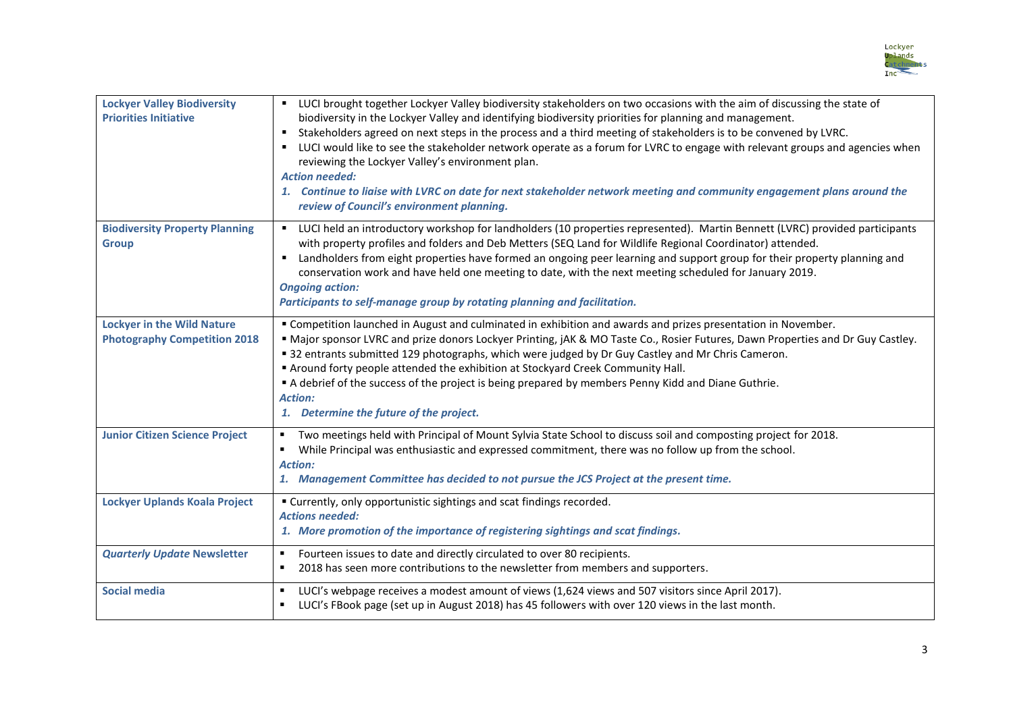

| <b>Lockyer Valley Biodiversity</b><br><b>Priorities Initiative</b>       | " LUCI brought together Lockyer Valley biodiversity stakeholders on two occasions with the aim of discussing the state of<br>biodiversity in the Lockyer Valley and identifying biodiversity priorities for planning and management.<br>Stakeholders agreed on next steps in the process and a third meeting of stakeholders is to be convened by LVRC.<br>" LUCI would like to see the stakeholder network operate as a forum for LVRC to engage with relevant groups and agencies when<br>reviewing the Lockyer Valley's environment plan.<br><b>Action needed:</b><br>1. Continue to liaise with LVRC on date for next stakeholder network meeting and community engagement plans around the<br>review of Council's environment planning. |
|--------------------------------------------------------------------------|----------------------------------------------------------------------------------------------------------------------------------------------------------------------------------------------------------------------------------------------------------------------------------------------------------------------------------------------------------------------------------------------------------------------------------------------------------------------------------------------------------------------------------------------------------------------------------------------------------------------------------------------------------------------------------------------------------------------------------------------|
| <b>Biodiversity Property Planning</b><br><b>Group</b>                    | " LUCI held an introductory workshop for landholders (10 properties represented). Martin Bennett (LVRC) provided participants<br>with property profiles and folders and Deb Metters (SEQ Land for Wildlife Regional Coordinator) attended.<br>" Landholders from eight properties have formed an ongoing peer learning and support group for their property planning and<br>conservation work and have held one meeting to date, with the next meeting scheduled for January 2019.<br><b>Ongoing action:</b><br>Participants to self-manage group by rotating planning and facilitation.                                                                                                                                                     |
| <b>Lockyer in the Wild Nature</b><br><b>Photography Competition 2018</b> | " Competition launched in August and culminated in exhibition and awards and prizes presentation in November.<br>" Major sponsor LVRC and prize donors Lockyer Printing, jAK & MO Taste Co., Rosier Futures, Dawn Properties and Dr Guy Castley.<br>" 32 entrants submitted 129 photographs, which were judged by Dr Guy Castley and Mr Chris Cameron.<br>" Around forty people attended the exhibition at Stockyard Creek Community Hall.<br>A debrief of the success of the project is being prepared by members Penny Kidd and Diane Guthrie.<br><b>Action:</b><br>1. Determine the future of the project.                                                                                                                                |
| <b>Junior Citizen Science Project</b>                                    | Two meetings held with Principal of Mount Sylvia State School to discuss soil and composting project for 2018.<br>٠<br>While Principal was enthusiastic and expressed commitment, there was no follow up from the school.<br><b>Action:</b><br>1. Management Committee has decided to not pursue the JCS Project at the present time.                                                                                                                                                                                                                                                                                                                                                                                                        |
| <b>Lockyer Uplands Koala Project</b>                                     | " Currently, only opportunistic sightings and scat findings recorded.<br><b>Actions needed:</b><br>1. More promotion of the importance of registering sightings and scat findings.                                                                                                                                                                                                                                                                                                                                                                                                                                                                                                                                                           |
| <b>Quarterly Update Newsletter</b>                                       | Fourteen issues to date and directly circulated to over 80 recipients.<br>п<br>2018 has seen more contributions to the newsletter from members and supporters.<br>п                                                                                                                                                                                                                                                                                                                                                                                                                                                                                                                                                                          |
| <b>Social media</b>                                                      | LUCI's webpage receives a modest amount of views (1,624 views and 507 visitors since April 2017).<br>$\blacksquare$<br>LUCI's FBook page (set up in August 2018) has 45 followers with over 120 views in the last month.                                                                                                                                                                                                                                                                                                                                                                                                                                                                                                                     |